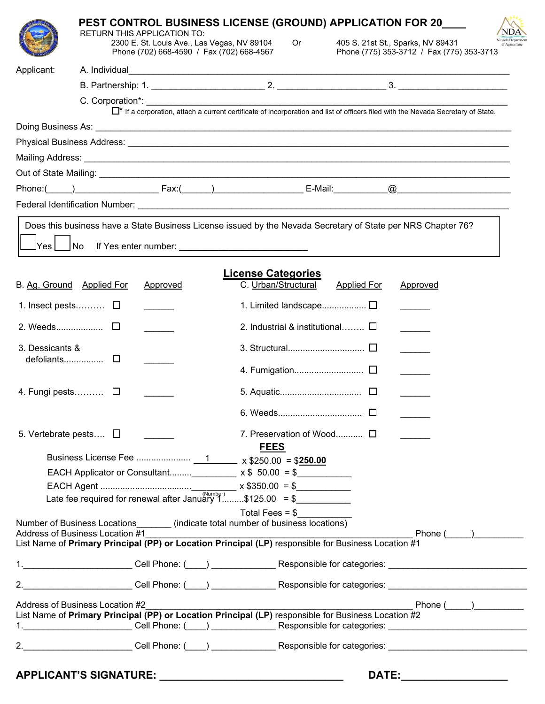|                 |                                                                                                                                                                                                                                       |                                             | <b>PEST CONTROL BUSINESS LICENSE (GROUND) APPLICATION FOR 20___</b>                                                                           |                                       |                                         |                                                                                |              |
|-----------------|---------------------------------------------------------------------------------------------------------------------------------------------------------------------------------------------------------------------------------------|---------------------------------------------|-----------------------------------------------------------------------------------------------------------------------------------------------|---------------------------------------|-----------------------------------------|--------------------------------------------------------------------------------|--------------|
|                 | RETURN THIS APPLICATION TO:                                                                                                                                                                                                           | 2300 E. St. Louis Ave., Las Vegas, NV 89104 | Phone (702) 668-4590 / Fax (702) 668-4567                                                                                                     | <b>Or</b>                             |                                         | 405 S. 21st St., Sparks, NV 89431<br>Phone (775) 353-3712 / Fax (775) 353-3713 |              |
| Applicant:      |                                                                                                                                                                                                                                       |                                             |                                                                                                                                               |                                       |                                         |                                                                                |              |
|                 |                                                                                                                                                                                                                                       |                                             |                                                                                                                                               |                                       |                                         |                                                                                |              |
|                 |                                                                                                                                                                                                                                       |                                             | □ <sup>*</sup> If a corporation, attach a current certificate of incorporation and list of officers filed with the Nevada Secretary of State. |                                       |                                         |                                                                                |              |
|                 |                                                                                                                                                                                                                                       |                                             |                                                                                                                                               |                                       |                                         |                                                                                |              |
|                 |                                                                                                                                                                                                                                       |                                             |                                                                                                                                               |                                       |                                         |                                                                                |              |
|                 |                                                                                                                                                                                                                                       |                                             |                                                                                                                                               |                                       |                                         |                                                                                |              |
|                 |                                                                                                                                                                                                                                       |                                             |                                                                                                                                               |                                       |                                         |                                                                                |              |
|                 | Phone:( <u>University of Tax:(University of Tax:(University of Tax:(University of Tax:(University of Tax:(University of Tax:(University of Tax:(University of Tax:(University of Tax:(University of Tax:(University of Tax:(Unive</u> |                                             |                                                                                                                                               |                                       |                                         |                                                                                |              |
|                 |                                                                                                                                                                                                                                       |                                             |                                                                                                                                               |                                       |                                         |                                                                                |              |
| lYes l          | Does this business have a State Business License issued by the Nevada Secretary of State per NRS Chapter 76?<br> No                                                                                                                   |                                             |                                                                                                                                               |                                       |                                         |                                                                                |              |
|                 |                                                                                                                                                                                                                                       |                                             | <b>License Categories</b>                                                                                                                     |                                       |                                         |                                                                                |              |
|                 | B. Ag. Ground Applied For                                                                                                                                                                                                             | Approved                                    |                                                                                                                                               | C. Urban/Structural                   | <b>Applied For</b>                      | Approved                                                                       |              |
|                 | 1. Insect pests $\Box$                                                                                                                                                                                                                |                                             |                                                                                                                                               |                                       |                                         |                                                                                |              |
|                 |                                                                                                                                                                                                                                       |                                             |                                                                                                                                               |                                       | 2. Industrial & institutional $\square$ |                                                                                |              |
| 3. Dessicants & |                                                                                                                                                                                                                                       |                                             |                                                                                                                                               |                                       |                                         |                                                                                |              |
|                 |                                                                                                                                                                                                                                       |                                             |                                                                                                                                               |                                       |                                         |                                                                                |              |
|                 | 4. Fungi pests $\square$                                                                                                                                                                                                              |                                             |                                                                                                                                               |                                       |                                         |                                                                                |              |
|                 |                                                                                                                                                                                                                                       |                                             |                                                                                                                                               |                                       | $\Box$                                  |                                                                                |              |
|                 | 5. Vertebrate pests $\Box$                                                                                                                                                                                                            |                                             | <b>FEES</b>                                                                                                                                   | 7. Preservation of Wood <sup>[]</sup> |                                         |                                                                                |              |
|                 |                                                                                                                                                                                                                                       |                                             |                                                                                                                                               |                                       |                                         |                                                                                |              |
|                 |                                                                                                                                                                                                                                       |                                             |                                                                                                                                               |                                       |                                         |                                                                                |              |
|                 |                                                                                                                                                                                                                                       |                                             |                                                                                                                                               |                                       |                                         |                                                                                |              |
|                 |                                                                                                                                                                                                                                       |                                             |                                                                                                                                               |                                       |                                         |                                                                                |              |
|                 | Number of Business Locations (indicate total number of business locations)<br>Address of Business Location #1                                                                                                                         |                                             |                                                                                                                                               | Total Fees $=$ \$                     |                                         |                                                                                | Phone ( )    |
|                 | Address of Business Location #1<br>List Name of Primary Principal (PP) or Location Principal (LP) responsible for Business Location #1                                                                                                |                                             |                                                                                                                                               |                                       |                                         |                                                                                |              |
|                 | 1.________________________Cell Phone: (____) ________________Responsible for categories: ___________________________                                                                                                                  |                                             |                                                                                                                                               |                                       |                                         |                                                                                |              |
|                 |                                                                                                                                                                                                                                       |                                             |                                                                                                                                               |                                       |                                         |                                                                                |              |
|                 | Address of Business Location #2<br>List Name of Primary Principal (PP) or Location Principal (LP) responsible for Business Location #2                                                                                                |                                             |                                                                                                                                               |                                       |                                         |                                                                                | $Phone (\_)$ |
|                 | 1.________________________Cell Phone: (____) _________________Responsible for categories: ____________________________                                                                                                                |                                             |                                                                                                                                               |                                       |                                         |                                                                                |              |
|                 |                                                                                                                                                                                                                                       |                                             |                                                                                                                                               |                                       |                                         |                                                                                |              |
|                 |                                                                                                                                                                                                                                       |                                             |                                                                                                                                               |                                       |                                         |                                                                                |              |